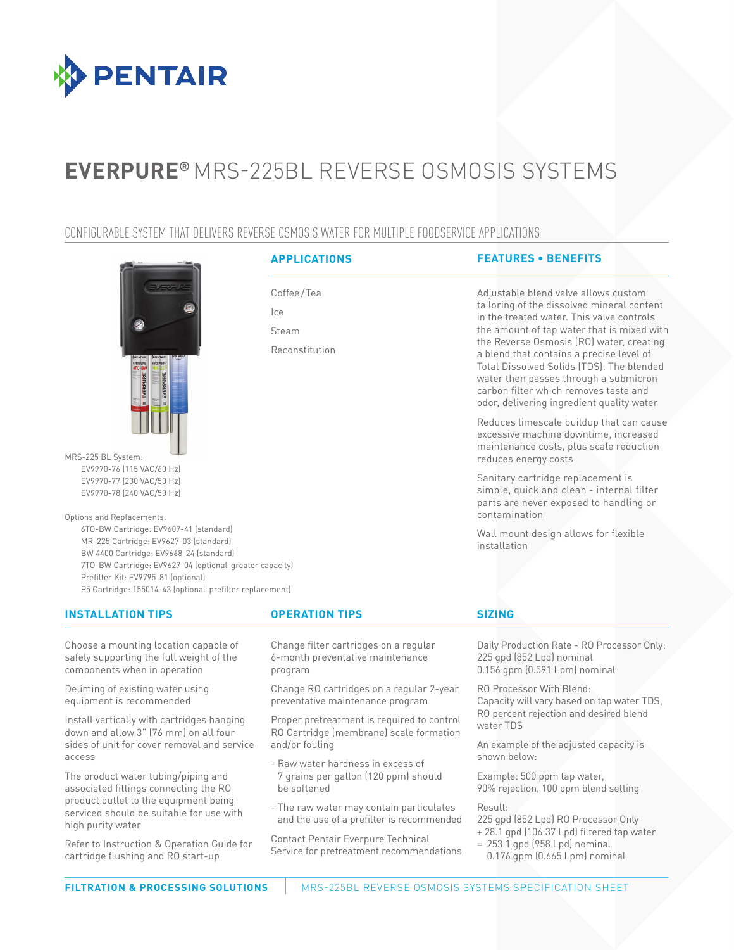

# **EVERPURE®** MRS-225BL REVERSE OSMOSIS SYSTEMS

### CONFIGURABLE SYSTEM THAT DELIVERS REVERSE OSMOSIS WATER FOR MULTIPLE FOODSERVICE APPLICATIONS

Coffee/Tea

Reconstitution

Ice Steam



MRS-225 BL System: EV9970-76 (115 VAC/60 Hz) EV9970-77 (230 VAC/50 Hz) EV9970-78 (240 VAC/50 Hz)

Options and Replacements: 6TO-BW Cartridge: EV9607-41 (standard) MR-225 Cartridge: EV9627-03 (standard) BW 4400 Cartridge: EV9668-24 (standard) 7TO-BW Cartridge: EV9627-04 (optional-greater capacity) Prefilter Kit: EV9795-81 (optional)

P5 Cartridge: 155014-43 (optional-prefilter replacement)

#### **INSTALLATION TIPS OPERATION TIPS SIZING**

Choose a mounting location capable of safely supporting the full weight of the components when in operation

Deliming of existing water using equipment is recommended

Install vertically with cartridges hanging down and allow 3" (76 mm) on all four sides of unit for cover removal and service access

The product water tubing/piping and associated fittings connecting the RO product outlet to the equipment being serviced should be suitable for use with high purity water

Refer to Instruction & Operation Guide for cartridge flushing and RO start-up

Change filter cartridges on a regular 6-month preventative maintenance program

Change RO cartridges on a regular 2-year preventative maintenance program

Proper pretreatment is required to control RO Cartridge (membrane) scale formation and/or fouling

- Raw water hardness in excess of 7 grains per gallon (120 ppm) should be softened
- The raw water may contain particulates and the use of a prefilter is recommended

Contact Pentair Everpure Technical Service for pretreatment recommendations

**APPLICATIONS FEATURES • BENEFITS**

Adjustable blend valve allows custom tailoring of the dissolved mineral content in the treated water. This valve controls the amount of tap water that is mixed with the Reverse Osmosis (RO) water, creating a blend that contains a precise level of Total Dissolved Solids (TDS). The blended water then passes through a submicron carbon filter which removes taste and odor, delivering ingredient quality water

Reduces limescale buildup that can cause excessive machine downtime, increased maintenance costs, plus scale reduction reduces energy costs

Sanitary cartridge replacement is simple, quick and clean - internal filter parts are never exposed to handling or contamination

Wall mount design allows for flexible installation

Daily Production Rate - RO Processor Only: 225 gpd (852 Lpd) nominal 0.156 gpm (0.591 Lpm) nominal

RO Processor With Blend: Capacity will vary based on tap water TDS, RO percent rejection and desired blend water TDS

An example of the adjusted capacity is shown below:

Example: 500 ppm tap water, 90% rejection, 100 ppm blend setting

Result:

225 gpd (852 Lpd) RO Processor Only

- + 28.1 gpd (106.37 Lpd) filtered tap water
- $= 253.1$  gpd (958 Lpd) nominal
	- 0.176 gpm (0.665 Lpm) nominal

**FILTRATION & PROCESSING SOLUTIONS NEWS-225BL REVERSE OSMOSIS SYSTEMS SPECIFICATION SHEET**